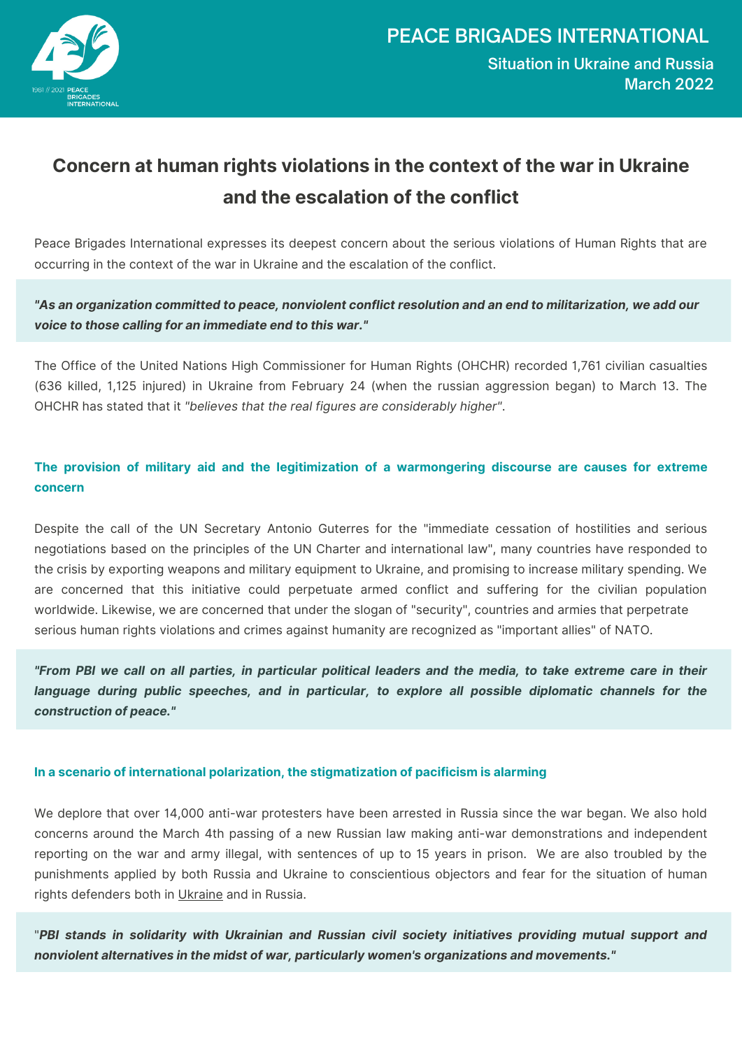

## **Concern at human rights violations in the context of the war in Ukraine and the escalation of the conflict**

Peace Brigades International expresses its deepest concern about the serious violations of Human Rights that are occurring in the context of the war in Ukraine and the escalation of the conflict.

"As an organization committed to peace, nonviolent conflict resolution and an end to militarization, we add our *voice to those calling for an immediate end to this war."*

The Office of the United Nations High Commissioner for Human Rights (OHCHR) recorded 1,761 civilian casualties (636 killed, 1,125 injured) in Ukraine from February 24 (when the russian aggression began) to March 13. The OHCHR has stated that it *"believes that the real figures are considerably higher"*.

**The provision of military aid and the legitimization of a warmongering discourse are causes for extreme concern**

Despite the call of the UN Secretary Antonio Guterres for the "immediate cessation of hostilities and serious negotiations based on the principles of the UN Charter and international law", many countries have responded to the crisis by exporting weapons and military equipment to Ukraine, and promising to increase military spending. We are concerned that this initiative could perpetuate armed conflict and suffering for the civilian population worldwide. Likewise, we are concerned that under the slogan of "security", countries and armies that perpetrate serious human rights violations and crimes against humanity are recognized as "important allies" of NATO.

"From PBI we call on all parties, in particular political leaders and the media, to take extreme care in their *language during public speeches, and in particular, to explore all possible diplomatic channels for the construction of peace."*

## **In a scenario of international polarization, the stigmatization of pacificism is alarming**

We deplore that over 14,000 anti-war protesters have been arrested in Russia since the war began. We also hold concerns around the March 4th passing of a new Russian law making anti-war demonstrations and independent reporting on the war and army illegal, with sentences of up to 15 years in prison. We are also troubled by the punishments applied by both Russia and Ukraine to conscientious objectors and fear for the situation of human rights defenders both in [Ukraine](https://www.frontlinedefenders.org/en/case/disappearance-human-rights-defender-oleh-baturin) and in Russia.

"*PBI stands in solidarity with Ukrainian and Russian civil society initiatives providing mutual support and nonviolent alternatives in the midst of war, particularly women's organizations and movements."*